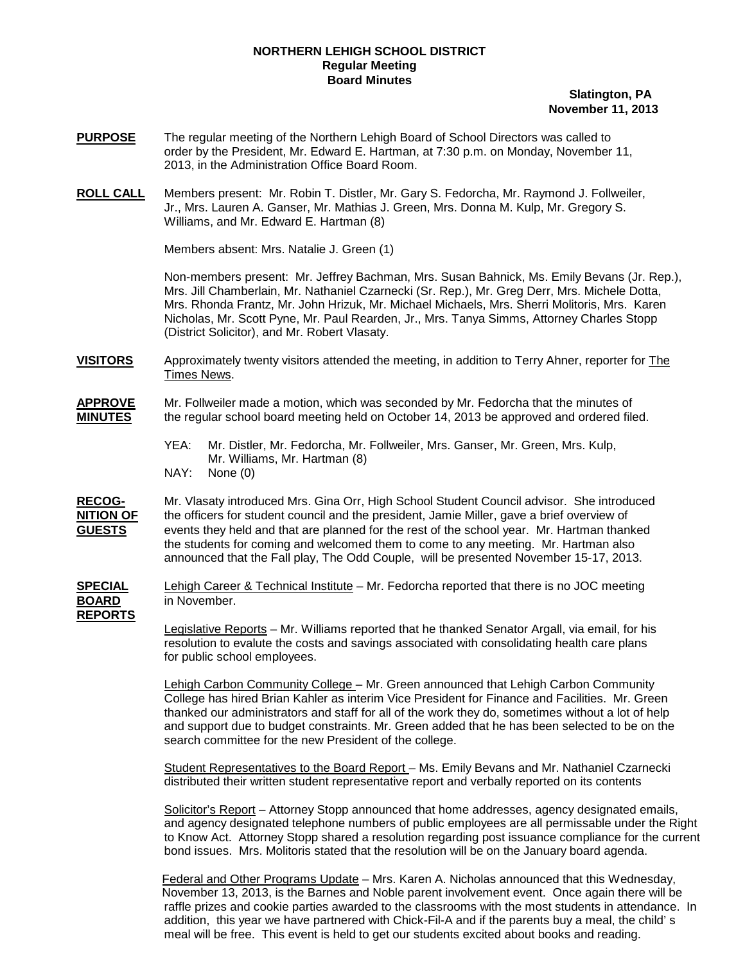## **NORTHERN LEHIGH SCHOOL DISTRICT Regular Meeting Board Minutes**

## **Slatington, PA November 11, 2013**

- **PURPOSE** The regular meeting of the Northern Lehigh Board of School Directors was called to order by the President, Mr. Edward E. Hartman, at 7:30 p.m. on Monday, November 11, 2013, in the Administration Office Board Room.
- **ROLL CALL** Members present: Mr. Robin T. Distler, Mr. Gary S. Fedorcha, Mr. Raymond J. Follweiler, Jr., Mrs. Lauren A. Ganser, Mr. Mathias J. Green, Mrs. Donna M. Kulp, Mr. Gregory S. Williams, and Mr. Edward E. Hartman (8)

Members absent: Mrs. Natalie J. Green (1)

Non-members present: Mr. Jeffrey Bachman, Mrs. Susan Bahnick, Ms. Emily Bevans (Jr. Rep.), Mrs. Jill Chamberlain, Mr. Nathaniel Czarnecki (Sr. Rep.), Mr. Greg Derr, Mrs. Michele Dotta, Mrs. Rhonda Frantz, Mr. John Hrizuk, Mr. Michael Michaels, Mrs. Sherri Molitoris, Mrs. Karen Nicholas, Mr. Scott Pyne, Mr. Paul Rearden, Jr., Mrs. Tanya Simms, Attorney Charles Stopp (District Solicitor), and Mr. Robert Vlasaty.

**VISITORS** Approximately twenty visitors attended the meeting, in addition to Terry Ahner, reporter for The Times News.

**APPROVE** Mr. Follweiler made a motion, which was seconded by Mr. Fedorcha that the minutes of **MINUTES** the regular school board meeting held on October 14, 2013 be approved and ordered filed.

> YEA: Mr. Distler, Mr. Fedorcha, Mr. Follweiler, Mrs. Ganser, Mr. Green, Mrs. Kulp, Mr. Williams, Mr. Hartman (8) NAY: None (0)

RECOG-<br>**NITION OF** the officers for student council and the president, Jamie Miller, gave a brief overview of the officers for student council and the president, Jamie Miller, gave a brief overview of **GUESTS** the students for coming and welcomed them to come to any meeting. Mr. Hartman also announced that the Fall play, The Odd Couple, will be presented November 15-17, 2013. events they held and that are planned for the rest of the school year. Mr. Hartman thanked

**SPECIAL** Lehigh Career & Technical Institute – Mr. Fedorcha reported that there is no JOC meeting **BOARD** in November. **REPORTS**

> Legislative Reports – Mr. Williams reported that he thanked Senator Argall, via email, for his resolution to evalute the costs and savings associated with consolidating health care plans for public school employees.

Lehigh Carbon Community College – Mr. Green announced that Lehigh Carbon Community College has hired Brian Kahler as interim Vice President for Finance and Facilities. Mr. Green thanked our administrators and staff for all of the work they do, sometimes without a lot of help and support due to budget constraints. Mr. Green added that he has been selected to be on the search committee for the new President of the college.

Student Representatives to the Board Report – Ms. Emily Bevans and Mr. Nathaniel Czarnecki distributed their written student representative report and verbally reported on its contents

Solicitor's Report – Attorney Stopp announced that home addresses, agency designated emails, and agency designated telephone numbers of public employees are all permissable under the Right to Know Act. Attorney Stopp shared a resolution regarding post issuance compliance for the current bond issues. Mrs. Molitoris stated that the resolution will be on the January board agenda.

Federal and Other Programs Update – Mrs. Karen A. Nicholas announced that this Wednesday, November 13, 2013, is the Barnes and Noble parent involvement event. Once again there will be raffle prizes and cookie parties awarded to the classrooms with the most students in attendance. In addition, this year we have partnered with Chick-Fil-A and if the parents buy a meal, the child' s meal will be free. This event is held to get our students excited about books and reading.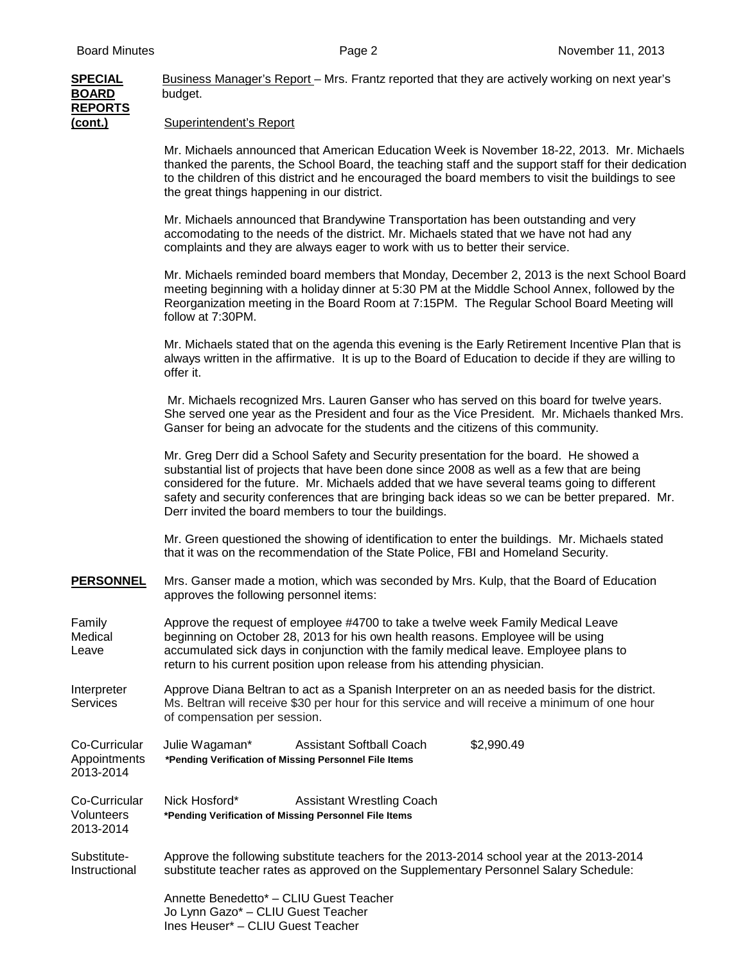| <b>SPECIAL</b><br><b>BOARD</b><br><b>REPORTS</b> | Business Manager's Report - Mrs. Frantz reported that they are actively working on next year's<br>budget.                                                                                                                                                                                                                                                                                                                                       |
|--------------------------------------------------|-------------------------------------------------------------------------------------------------------------------------------------------------------------------------------------------------------------------------------------------------------------------------------------------------------------------------------------------------------------------------------------------------------------------------------------------------|
| <u>(cont.)</u>                                   | <b>Superintendent's Report</b>                                                                                                                                                                                                                                                                                                                                                                                                                  |
|                                                  | Mr. Michaels announced that American Education Week is November 18-22, 2013. Mr. Michaels<br>thanked the parents, the School Board, the teaching staff and the support staff for their dedication<br>to the children of this district and he encouraged the board members to visit the buildings to see<br>the great things happening in our district.                                                                                          |
|                                                  | Mr. Michaels announced that Brandywine Transportation has been outstanding and very<br>accomodating to the needs of the district. Mr. Michaels stated that we have not had any<br>complaints and they are always eager to work with us to better their service.                                                                                                                                                                                 |
|                                                  | Mr. Michaels reminded board members that Monday, December 2, 2013 is the next School Board<br>meeting beginning with a holiday dinner at 5:30 PM at the Middle School Annex, followed by the<br>Reorganization meeting in the Board Room at 7:15PM. The Regular School Board Meeting will<br>follow at 7:30PM.                                                                                                                                  |
|                                                  | Mr. Michaels stated that on the agenda this evening is the Early Retirement Incentive Plan that is<br>always written in the affirmative. It is up to the Board of Education to decide if they are willing to<br>offer it.                                                                                                                                                                                                                       |
|                                                  | Mr. Michaels recognized Mrs. Lauren Ganser who has served on this board for twelve years.<br>She served one year as the President and four as the Vice President. Mr. Michaels thanked Mrs.<br>Ganser for being an advocate for the students and the citizens of this community.                                                                                                                                                                |
|                                                  | Mr. Greg Derr did a School Safety and Security presentation for the board. He showed a<br>substantial list of projects that have been done since 2008 as well as a few that are being<br>considered for the future. Mr. Michaels added that we have several teams going to different<br>safety and security conferences that are bringing back ideas so we can be better prepared. Mr.<br>Derr invited the board members to tour the buildings. |
|                                                  | Mr. Green questioned the showing of identification to enter the buildings. Mr. Michaels stated<br>that it was on the recommendation of the State Police, FBI and Homeland Security.                                                                                                                                                                                                                                                             |
| <b>PERSONNEL</b>                                 | Mrs. Ganser made a motion, which was seconded by Mrs. Kulp, that the Board of Education<br>approves the following personnel items:                                                                                                                                                                                                                                                                                                              |
| Family<br>Medical<br>Leave                       | Approve the request of employee #4700 to take a twelve week Family Medical Leave<br>beginning on October 28, 2013 for his own health reasons. Employee will be using<br>accumulated sick days in conjunction with the family medical leave. Employee plans to<br>return to his current position upon release from his attending physician.                                                                                                      |
| Interpreter<br><b>Services</b>                   | Approve Diana Beltran to act as a Spanish Interpreter on an as needed basis for the district.<br>Ms. Beltran will receive \$30 per hour for this service and will receive a minimum of one hour<br>of compensation per session.                                                                                                                                                                                                                 |
| Co-Curricular<br>Appointments<br>2013-2014       | Julie Wagaman*<br><b>Assistant Softball Coach</b><br>\$2,990.49<br>*Pending Verification of Missing Personnel File Items                                                                                                                                                                                                                                                                                                                        |
| Co-Curricular<br><b>Volunteers</b><br>2013-2014  | Nick Hosford*<br><b>Assistant Wrestling Coach</b><br>*Pending Verification of Missing Personnel File Items                                                                                                                                                                                                                                                                                                                                      |
| Substitute-<br>Instructional                     | Approve the following substitute teachers for the 2013-2014 school year at the 2013-2014<br>substitute teacher rates as approved on the Supplementary Personnel Salary Schedule:                                                                                                                                                                                                                                                                |
|                                                  | Annette Benedetto* - CLIU Guest Teacher<br>Jo Lynn Gazo* - CLIU Guest Teacher<br>Ines Heuser* - CLIU Guest Teacher                                                                                                                                                                                                                                                                                                                              |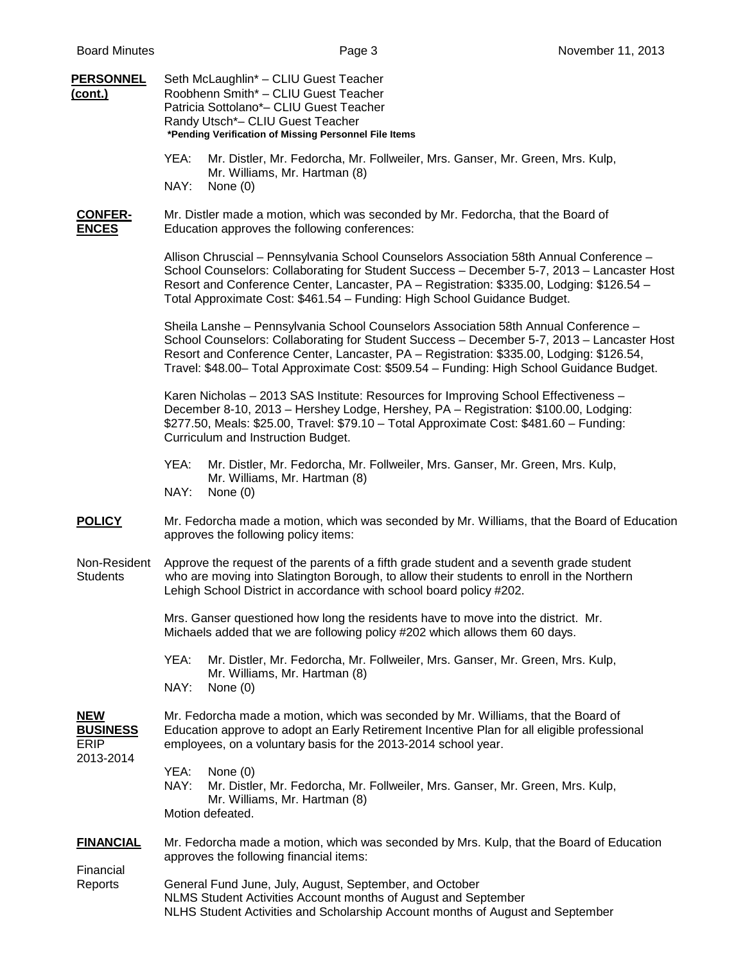| <b>PERSONNEL</b><br>(cont.)                               | Seth McLaughlin* - CLIU Guest Teacher<br>Roobhenn Smith* - CLIU Guest Teacher<br>Patricia Sottolano*- CLIU Guest Teacher<br>Randy Utsch*- CLIU Guest Teacher<br>*Pending Verification of Missing Personnel File Items                                                                                                                                                      |
|-----------------------------------------------------------|----------------------------------------------------------------------------------------------------------------------------------------------------------------------------------------------------------------------------------------------------------------------------------------------------------------------------------------------------------------------------|
|                                                           | Mr. Distler, Mr. Fedorcha, Mr. Follweiler, Mrs. Ganser, Mr. Green, Mrs. Kulp,<br>YEA:<br>Mr. Williams, Mr. Hartman (8)<br>NAY:<br>None $(0)$                                                                                                                                                                                                                               |
| <b>CONFER-</b><br><b>ENCES</b>                            | Mr. Distler made a motion, which was seconded by Mr. Fedorcha, that the Board of<br>Education approves the following conferences:                                                                                                                                                                                                                                          |
|                                                           | Allison Chruscial - Pennsylvania School Counselors Association 58th Annual Conference -<br>School Counselors: Collaborating for Student Success - December 5-7, 2013 - Lancaster Host<br>Resort and Conference Center, Lancaster, PA - Registration: \$335.00, Lodging: \$126.54 -<br>Total Approximate Cost: \$461.54 - Funding: High School Guidance Budget.             |
|                                                           | Sheila Lanshe - Pennsylvania School Counselors Association 58th Annual Conference -<br>School Counselors: Collaborating for Student Success - December 5-7, 2013 - Lancaster Host<br>Resort and Conference Center, Lancaster, PA - Registration: \$335.00, Lodging: \$126.54,<br>Travel: \$48.00- Total Approximate Cost: \$509.54 - Funding: High School Guidance Budget. |
|                                                           | Karen Nicholas - 2013 SAS Institute: Resources for Improving School Effectiveness -<br>December 8-10, 2013 - Hershey Lodge, Hershey, PA - Registration: \$100.00, Lodging:<br>\$277.50, Meals: \$25.00, Travel: \$79.10 - Total Approximate Cost: \$481.60 - Funding:<br>Curriculum and Instruction Budget.                                                                |
|                                                           | Mr. Distler, Mr. Fedorcha, Mr. Follweiler, Mrs. Ganser, Mr. Green, Mrs. Kulp,<br>YEA:<br>Mr. Williams, Mr. Hartman (8)<br>NAY:<br>None (0)                                                                                                                                                                                                                                 |
| <b>POLICY</b>                                             | Mr. Fedorcha made a motion, which was seconded by Mr. Williams, that the Board of Education<br>approves the following policy items:                                                                                                                                                                                                                                        |
| Non-Resident<br><b>Students</b>                           | Approve the request of the parents of a fifth grade student and a seventh grade student<br>who are moving into Slatington Borough, to allow their students to enroll in the Northern<br>Lehigh School District in accordance with school board policy #202.                                                                                                                |
|                                                           | Mrs. Ganser questioned how long the residents have to move into the district. Mr.<br>Michaels added that we are following policy #202 which allows them 60 days.                                                                                                                                                                                                           |
|                                                           | YEA:<br>Mr. Distler, Mr. Fedorcha, Mr. Follweiler, Mrs. Ganser, Mr. Green, Mrs. Kulp,<br>Mr. Williams, Mr. Hartman (8)<br>NAY:<br>None $(0)$                                                                                                                                                                                                                               |
| <b>NEW</b><br><b>BUSINESS</b><br><b>ERIP</b><br>2013-2014 | Mr. Fedorcha made a motion, which was seconded by Mr. Williams, that the Board of<br>Education approve to adopt an Early Retirement Incentive Plan for all eligible professional<br>employees, on a voluntary basis for the 2013-2014 school year.                                                                                                                         |
|                                                           | YEA:<br>None $(0)$<br>NAY:<br>Mr. Distler, Mr. Fedorcha, Mr. Follweiler, Mrs. Ganser, Mr. Green, Mrs. Kulp,<br>Mr. Williams, Mr. Hartman (8)<br>Motion defeated.                                                                                                                                                                                                           |
| <b>FINANCIAL</b><br>Financial<br>Reports                  | Mr. Fedorcha made a motion, which was seconded by Mrs. Kulp, that the Board of Education<br>approves the following financial items:                                                                                                                                                                                                                                        |
|                                                           | General Fund June, July, August, September, and October<br>NLMS Student Activities Account months of August and September<br>NLHS Student Activities and Scholarship Account months of August and September                                                                                                                                                                |